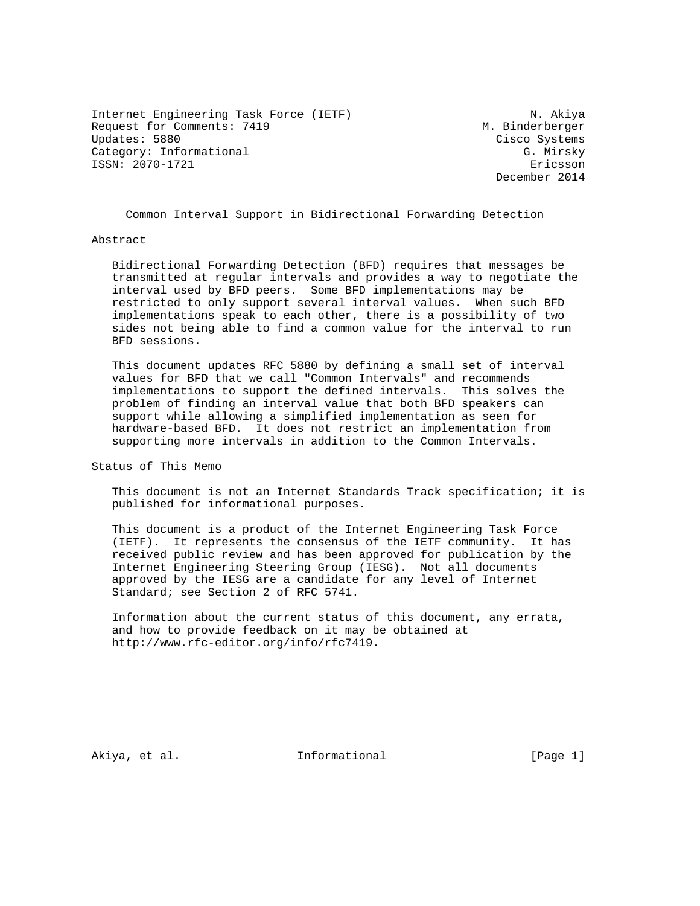Internet Engineering Task Force (IETF) N. Akiya Request for Comments: 7419 M. Binderberger<br>
Updates: 5880 Cisco Systems Category: Informational G. Mirsky ISSN: 2070-1721 Ericsson

Cisco Systems December 2014

Common Interval Support in Bidirectional Forwarding Detection

## Abstract

 Bidirectional Forwarding Detection (BFD) requires that messages be transmitted at regular intervals and provides a way to negotiate the interval used by BFD peers. Some BFD implementations may be restricted to only support several interval values. When such BFD implementations speak to each other, there is a possibility of two sides not being able to find a common value for the interval to run BFD sessions.

 This document updates RFC 5880 by defining a small set of interval values for BFD that we call "Common Intervals" and recommends implementations to support the defined intervals. This solves the problem of finding an interval value that both BFD speakers can support while allowing a simplified implementation as seen for hardware-based BFD. It does not restrict an implementation from supporting more intervals in addition to the Common Intervals.

Status of This Memo

 This document is not an Internet Standards Track specification; it is published for informational purposes.

 This document is a product of the Internet Engineering Task Force (IETF). It represents the consensus of the IETF community. It has received public review and has been approved for publication by the Internet Engineering Steering Group (IESG). Not all documents approved by the IESG are a candidate for any level of Internet Standard; see Section 2 of RFC 5741.

 Information about the current status of this document, any errata, and how to provide feedback on it may be obtained at http://www.rfc-editor.org/info/rfc7419.

Akiya, et al. 10. Informational 1. [Page 1]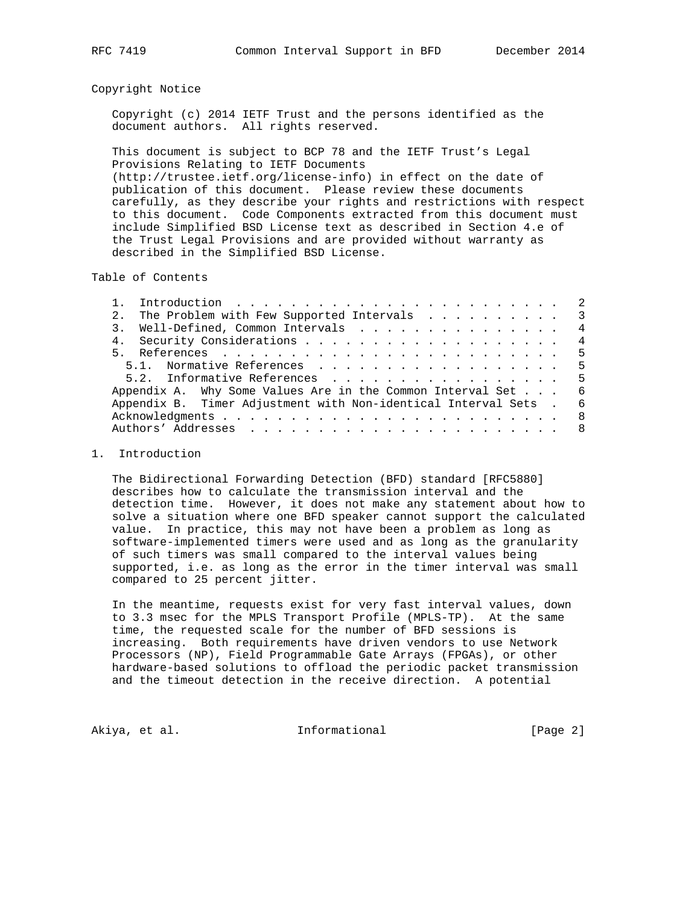## Copyright Notice

 Copyright (c) 2014 IETF Trust and the persons identified as the document authors. All rights reserved.

 This document is subject to BCP 78 and the IETF Trust's Legal Provisions Relating to IETF Documents (http://trustee.ietf.org/license-info) in effect on the date of publication of this document. Please review these documents carefully, as they describe your rights and restrictions with respect to this document. Code Components extracted from this document must include Simplified BSD License text as described in Section 4.e of the Trust Legal Provisions and are provided without warranty as described in the Simplified BSD License.

Table of Contents

| 2.1 | The Problem with Few Supported Intervals 3                            |  |  |  |  |  |  |  |  |  |     |
|-----|-----------------------------------------------------------------------|--|--|--|--|--|--|--|--|--|-----|
|     | 3. Well-Defined, Common Intervals 4                                   |  |  |  |  |  |  |  |  |  |     |
|     |                                                                       |  |  |  |  |  |  |  |  |  |     |
|     |                                                                       |  |  |  |  |  |  |  |  |  |     |
|     | 5.1. Normative References 5                                           |  |  |  |  |  |  |  |  |  |     |
|     | 5.2. Informative References 5                                         |  |  |  |  |  |  |  |  |  |     |
|     | Appendix A. Why Some Values Are in the Common Interval Set $\ldots$ 6 |  |  |  |  |  |  |  |  |  |     |
|     | Appendix B. Timer Adjustment with Non-identical Interval Sets.        |  |  |  |  |  |  |  |  |  | - 6 |
|     |                                                                       |  |  |  |  |  |  |  |  |  |     |
|     |                                                                       |  |  |  |  |  |  |  |  |  |     |
|     |                                                                       |  |  |  |  |  |  |  |  |  |     |

## 1. Introduction

 The Bidirectional Forwarding Detection (BFD) standard [RFC5880] describes how to calculate the transmission interval and the detection time. However, it does not make any statement about how to solve a situation where one BFD speaker cannot support the calculated value. In practice, this may not have been a problem as long as software-implemented timers were used and as long as the granularity of such timers was small compared to the interval values being supported, i.e. as long as the error in the timer interval was small compared to 25 percent jitter.

 In the meantime, requests exist for very fast interval values, down to 3.3 msec for the MPLS Transport Profile (MPLS-TP). At the same time, the requested scale for the number of BFD sessions is increasing. Both requirements have driven vendors to use Network Processors (NP), Field Programmable Gate Arrays (FPGAs), or other hardware-based solutions to offload the periodic packet transmission and the timeout detection in the receive direction. A potential

Akiya, et al. 10 mm informational 1999 [Page 2]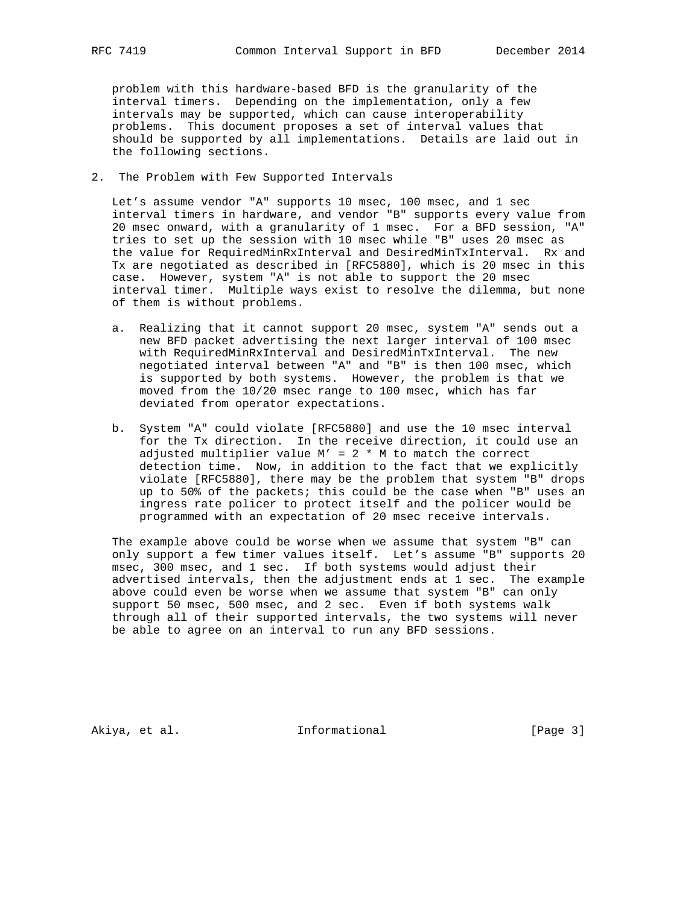problem with this hardware-based BFD is the granularity of the interval timers. Depending on the implementation, only a few intervals may be supported, which can cause interoperability problems. This document proposes a set of interval values that should be supported by all implementations. Details are laid out in the following sections.

2. The Problem with Few Supported Intervals

 Let's assume vendor "A" supports 10 msec, 100 msec, and 1 sec interval timers in hardware, and vendor "B" supports every value from 20 msec onward, with a granularity of 1 msec. For a BFD session, "A" tries to set up the session with 10 msec while "B" uses 20 msec as the value for RequiredMinRxInterval and DesiredMinTxInterval. Rx and Tx are negotiated as described in [RFC5880], which is 20 msec in this case. However, system "A" is not able to support the 20 msec interval timer. Multiple ways exist to resolve the dilemma, but none of them is without problems.

- a. Realizing that it cannot support 20 msec, system "A" sends out a new BFD packet advertising the next larger interval of 100 msec with RequiredMinRxInterval and DesiredMinTxInterval. The new negotiated interval between "A" and "B" is then 100 msec, which is supported by both systems. However, the problem is that we moved from the 10/20 msec range to 100 msec, which has far deviated from operator expectations.
- b. System "A" could violate [RFC5880] and use the 10 msec interval for the Tx direction. In the receive direction, it could use an adjusted multiplier value  $M' = 2 * M$  to match the correct detection time. Now, in addition to the fact that we explicitly violate [RFC5880], there may be the problem that system "B" drops up to 50% of the packets; this could be the case when "B" uses an ingress rate policer to protect itself and the policer would be programmed with an expectation of 20 msec receive intervals.

 The example above could be worse when we assume that system "B" can only support a few timer values itself. Let's assume "B" supports 20 msec, 300 msec, and 1 sec. If both systems would adjust their advertised intervals, then the adjustment ends at 1 sec. The example above could even be worse when we assume that system "B" can only support 50 msec, 500 msec, and 2 sec. Even if both systems walk through all of their supported intervals, the two systems will never be able to agree on an interval to run any BFD sessions.

Akiya, et al. 10 methormational 1965 [Page 3]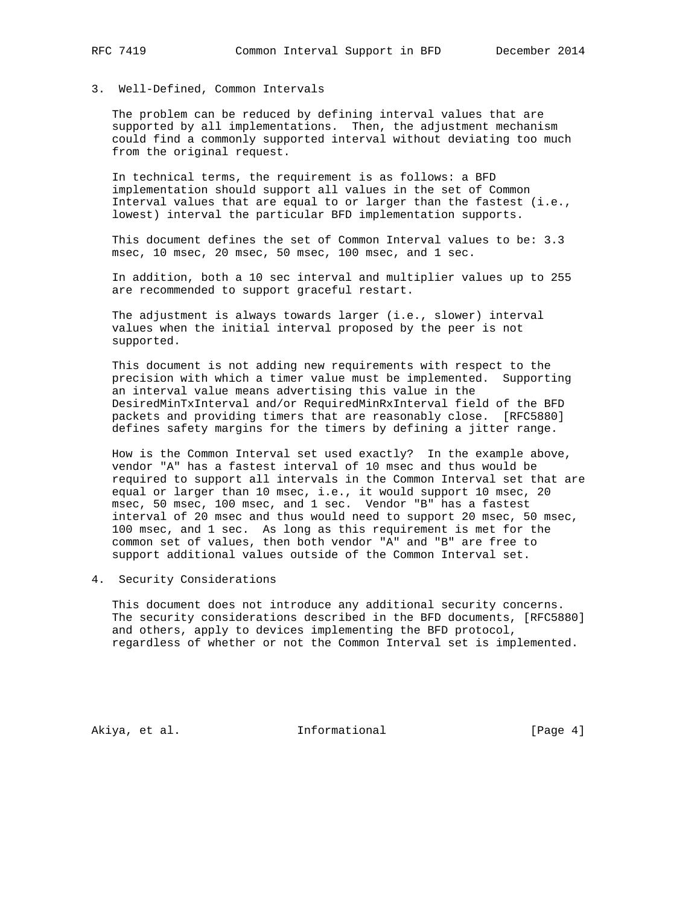# 3. Well-Defined, Common Intervals

 The problem can be reduced by defining interval values that are supported by all implementations. Then, the adjustment mechanism could find a commonly supported interval without deviating too much from the original request.

 In technical terms, the requirement is as follows: a BFD implementation should support all values in the set of Common Interval values that are equal to or larger than the fastest (i.e., lowest) interval the particular BFD implementation supports.

 This document defines the set of Common Interval values to be: 3.3 msec, 10 msec, 20 msec, 50 msec, 100 msec, and 1 sec.

 In addition, both a 10 sec interval and multiplier values up to 255 are recommended to support graceful restart.

 The adjustment is always towards larger (i.e., slower) interval values when the initial interval proposed by the peer is not supported.

 This document is not adding new requirements with respect to the precision with which a timer value must be implemented. Supporting an interval value means advertising this value in the DesiredMinTxInterval and/or RequiredMinRxInterval field of the BFD packets and providing timers that are reasonably close. [RFC5880] defines safety margins for the timers by defining a jitter range.

 How is the Common Interval set used exactly? In the example above, vendor "A" has a fastest interval of 10 msec and thus would be required to support all intervals in the Common Interval set that are equal or larger than 10 msec, i.e., it would support 10 msec, 20 msec, 50 msec, 100 msec, and 1 sec. Vendor "B" has a fastest interval of 20 msec and thus would need to support 20 msec, 50 msec, 100 msec, and 1 sec. As long as this requirement is met for the common set of values, then both vendor "A" and "B" are free to support additional values outside of the Common Interval set.

## 4. Security Considerations

 This document does not introduce any additional security concerns. The security considerations described in the BFD documents, [RFC5880] and others, apply to devices implementing the BFD protocol, regardless of whether or not the Common Interval set is implemented.

Akiya, et al. 10 Informational 1999 [Page 4]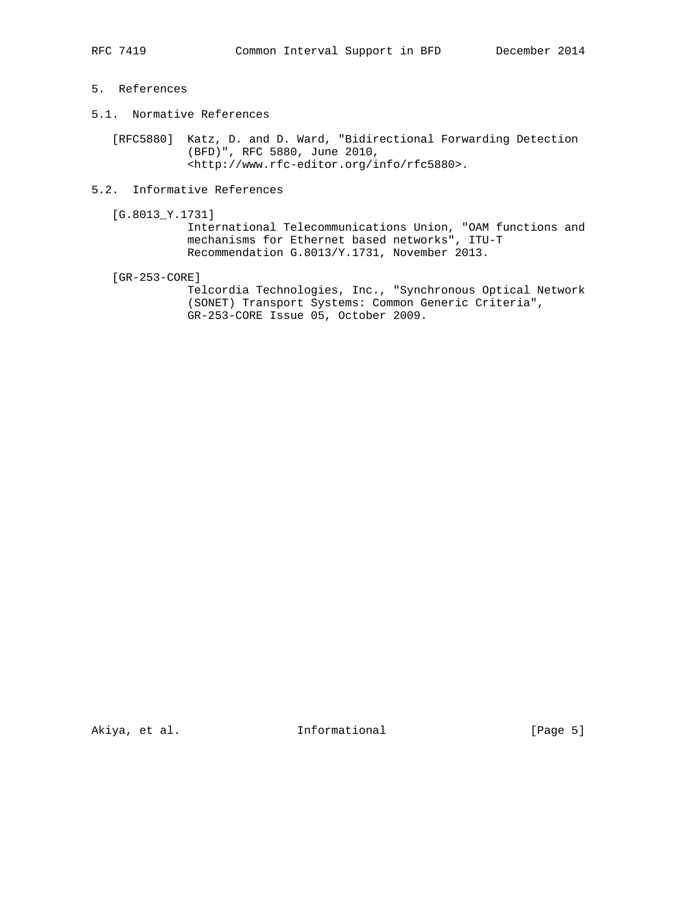# 5. References

5.1. Normative References

 [RFC5880] Katz, D. and D. Ward, "Bidirectional Forwarding Detection (BFD)", RFC 5880, June 2010, <http://www.rfc-editor.org/info/rfc5880>.

- 5.2. Informative References
	- [G.8013\_Y.1731]

 International Telecommunications Union, "OAM functions and mechanisms for Ethernet based networks", ITU-T Recommendation G.8013/Y.1731, November 2013.

[GR-253-CORE]

 Telcordia Technologies, Inc., "Synchronous Optical Network (SONET) Transport Systems: Common Generic Criteria", GR-253-CORE Issue 05, October 2009.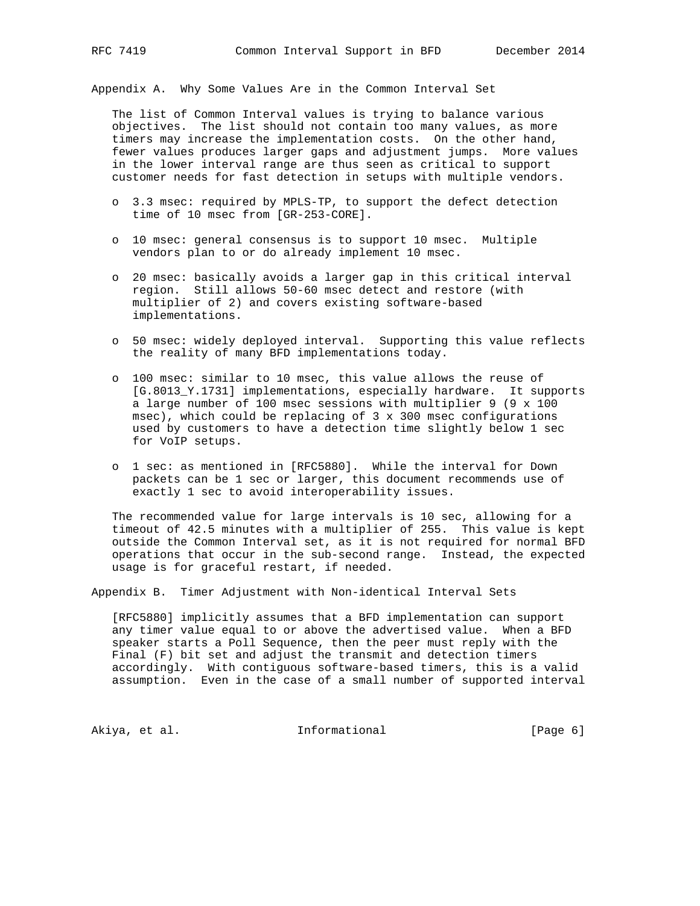Appendix A. Why Some Values Are in the Common Interval Set

 The list of Common Interval values is trying to balance various objectives. The list should not contain too many values, as more timers may increase the implementation costs. On the other hand, fewer values produces larger gaps and adjustment jumps. More values in the lower interval range are thus seen as critical to support customer needs for fast detection in setups with multiple vendors.

- o 3.3 msec: required by MPLS-TP, to support the defect detection time of 10 msec from [GR-253-CORE].
- o 10 msec: general consensus is to support 10 msec. Multiple vendors plan to or do already implement 10 msec.
- o 20 msec: basically avoids a larger gap in this critical interval region. Still allows 50-60 msec detect and restore (with multiplier of 2) and covers existing software-based implementations.
- o 50 msec: widely deployed interval. Supporting this value reflects the reality of many BFD implementations today.
- o 100 msec: similar to 10 msec, this value allows the reuse of [G.8013\_Y.1731] implementations, especially hardware. It supports a large number of 100 msec sessions with multiplier 9 (9 x 100 msec), which could be replacing of 3 x 300 msec configurations used by customers to have a detection time slightly below 1 sec for VoIP setups.
- o 1 sec: as mentioned in [RFC5880]. While the interval for Down packets can be 1 sec or larger, this document recommends use of exactly 1 sec to avoid interoperability issues.

 The recommended value for large intervals is 10 sec, allowing for a timeout of 42.5 minutes with a multiplier of 255. This value is kept outside the Common Interval set, as it is not required for normal BFD operations that occur in the sub-second range. Instead, the expected usage is for graceful restart, if needed.

Appendix B. Timer Adjustment with Non-identical Interval Sets

 [RFC5880] implicitly assumes that a BFD implementation can support any timer value equal to or above the advertised value. When a BFD speaker starts a Poll Sequence, then the peer must reply with the Final (F) bit set and adjust the transmit and detection timers accordingly. With contiguous software-based timers, this is a valid assumption. Even in the case of a small number of supported interval

Akiya, et al. 10 mm informational 1999 [Page 6]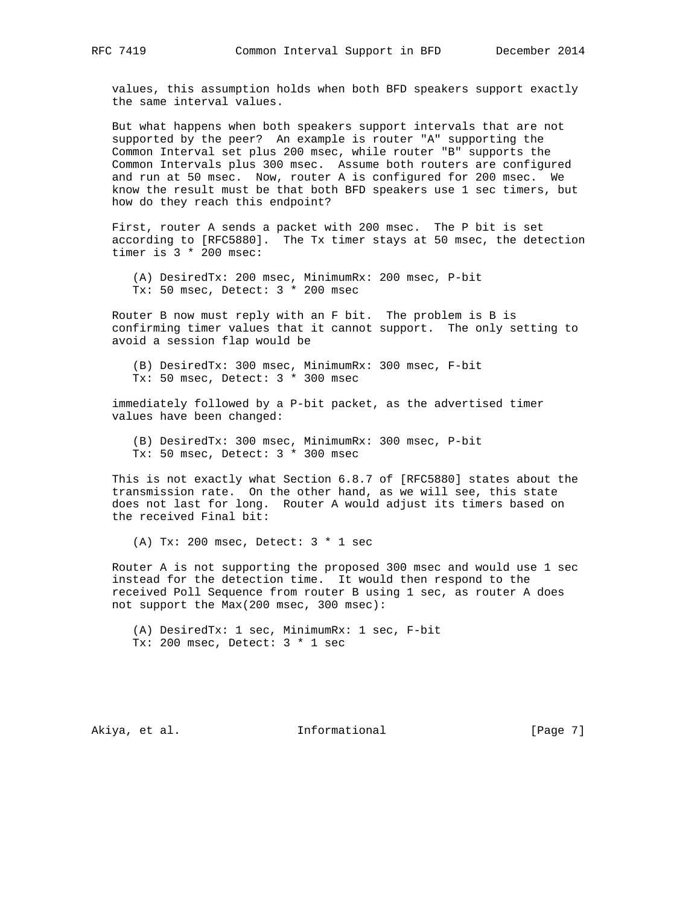values, this assumption holds when both BFD speakers support exactly the same interval values.

 But what happens when both speakers support intervals that are not supported by the peer? An example is router "A" supporting the Common Interval set plus 200 msec, while router "B" supports the Common Intervals plus 300 msec. Assume both routers are configured and run at 50 msec. Now, router A is configured for 200 msec. We know the result must be that both BFD speakers use 1 sec timers, but how do they reach this endpoint?

 First, router A sends a packet with 200 msec. The P bit is set according to [RFC5880]. The Tx timer stays at 50 msec, the detection timer is 3 \* 200 msec:

 (A) DesiredTx: 200 msec, MinimumRx: 200 msec, P-bit Tx: 50 msec, Detect: 3 \* 200 msec

 Router B now must reply with an F bit. The problem is B is confirming timer values that it cannot support. The only setting to avoid a session flap would be

 (B) DesiredTx: 300 msec, MinimumRx: 300 msec, F-bit Tx: 50 msec, Detect: 3 \* 300 msec

 immediately followed by a P-bit packet, as the advertised timer values have been changed:

 (B) DesiredTx: 300 msec, MinimumRx: 300 msec, P-bit Tx: 50 msec, Detect: 3 \* 300 msec

 This is not exactly what Section 6.8.7 of [RFC5880] states about the transmission rate. On the other hand, as we will see, this state does not last for long. Router A would adjust its timers based on the received Final bit:

(A) Tx: 200 msec, Detect:  $3 * 1$  sec

 Router A is not supporting the proposed 300 msec and would use 1 sec instead for the detection time. It would then respond to the received Poll Sequence from router B using 1 sec, as router A does not support the Max(200 msec, 300 msec):

 (A) DesiredTx: 1 sec, MinimumRx: 1 sec, F-bit Tx: 200 msec, Detect: 3 \* 1 sec

Akiya, et al. 10 mm informational 1999 [Page 7]